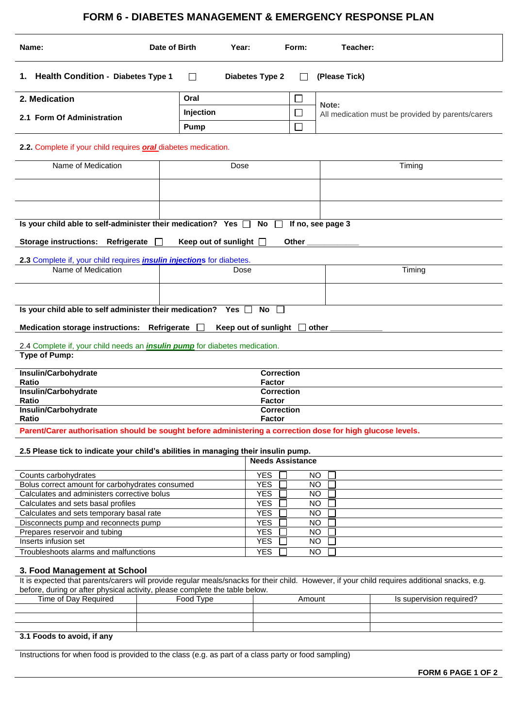## **FORM 6 - DIABETES MANAGEMENT & EMERGENCY RESPONSE PLAN**

| Name:                                                                                                       | Date of Birth                      | Year:                              | Form:                  | Teacher:                                          |  |  |  |  |
|-------------------------------------------------------------------------------------------------------------|------------------------------------|------------------------------------|------------------------|---------------------------------------------------|--|--|--|--|
| 1. Health Condition - Diabetes Type 1<br><b>Diabetes Type 2</b><br>(Please Tick)<br>$\perp$                 |                                    |                                    |                        |                                                   |  |  |  |  |
| 2. Medication                                                                                               | Oral                               |                                    |                        |                                                   |  |  |  |  |
|                                                                                                             | Injection                          |                                    | ப                      | Note:                                             |  |  |  |  |
| 2.1 Form Of Administration                                                                                  |                                    |                                    | $\Box$                 | All medication must be provided by parents/carers |  |  |  |  |
|                                                                                                             | <b>Pump</b>                        |                                    |                        |                                                   |  |  |  |  |
| 2.2. Complete if your child requires <b>oral</b> diabetes medication.                                       |                                    |                                    |                        |                                                   |  |  |  |  |
| Name of Medication                                                                                          | Dose                               |                                    |                        | Timing                                            |  |  |  |  |
|                                                                                                             |                                    |                                    |                        |                                                   |  |  |  |  |
|                                                                                                             |                                    |                                    |                        |                                                   |  |  |  |  |
|                                                                                                             |                                    |                                    |                        |                                                   |  |  |  |  |
|                                                                                                             |                                    |                                    |                        |                                                   |  |  |  |  |
| Is your child able to self-administer their medication? Yes $\square$<br>No<br>If no, see page 3            |                                    |                                    |                        |                                                   |  |  |  |  |
|                                                                                                             |                                    |                                    |                        |                                                   |  |  |  |  |
| <b>Storage instructions:</b><br>Refrigerate                                                                 | Keep out of sunlight $\Box$        |                                    | Other                  |                                                   |  |  |  |  |
| 2.3 Complete if, your child requires <i>insulin injections</i> for diabetes.                                |                                    |                                    |                        |                                                   |  |  |  |  |
| Name of Medication                                                                                          |                                    | Dose                               |                        | Timing                                            |  |  |  |  |
|                                                                                                             |                                    |                                    |                        |                                                   |  |  |  |  |
|                                                                                                             |                                    |                                    |                        |                                                   |  |  |  |  |
|                                                                                                             |                                    |                                    |                        |                                                   |  |  |  |  |
| Is your child able to self administer their medication? Yes [                                               |                                    | No                                 |                        |                                                   |  |  |  |  |
| <b>Medication storage instructions:</b><br>Refrigerate<br>Keep out of sunlight<br>$\perp$<br>other          |                                    |                                    |                        |                                                   |  |  |  |  |
|                                                                                                             |                                    |                                    |                        |                                                   |  |  |  |  |
| 2.4 Complete if, your child needs an <i>insulin pump</i> for diabetes medication.                           |                                    |                                    |                        |                                                   |  |  |  |  |
| <b>Type of Pump:</b>                                                                                        |                                    |                                    |                        |                                                   |  |  |  |  |
| Insulin/Carbohydrate                                                                                        |                                    |                                    |                        |                                                   |  |  |  |  |
| Ratio                                                                                                       | <b>Correction</b><br><b>Factor</b> |                                    |                        |                                                   |  |  |  |  |
| Insulin/Carbohydrate                                                                                        | <b>Correction</b>                  |                                    |                        |                                                   |  |  |  |  |
| Ratio                                                                                                       |                                    | <b>Factor</b><br><b>Correction</b> |                        |                                                   |  |  |  |  |
| Insulin/Carbohydrate                                                                                        |                                    |                                    |                        |                                                   |  |  |  |  |
| Ratio                                                                                                       |                                    | Factor                             |                        |                                                   |  |  |  |  |
| Parent/Carer authorisation should be sought before administering a correction dose for high glucose levels. |                                    |                                    |                        |                                                   |  |  |  |  |
| 2.5 Please tick to indicate your child's abilities in managing their insulin pump.                          |                                    |                                    |                        |                                                   |  |  |  |  |
|                                                                                                             |                                    | <b>Needs Assistance</b>            |                        |                                                   |  |  |  |  |
|                                                                                                             |                                    |                                    |                        |                                                   |  |  |  |  |
| Counts carbohydrates                                                                                        | <b>YES</b>                         |                                    | NO                     |                                                   |  |  |  |  |
| Bolus correct amount for carbohydrates consumed<br>Calculates and administers corrective bolus              | <b>YES</b><br><b>YES</b>           |                                    | <b>NO</b><br><b>NO</b> |                                                   |  |  |  |  |
| Calculates and sets basal profiles                                                                          | <b>YES</b>                         |                                    | <b>NO</b>              |                                                   |  |  |  |  |
| Calculates and sets temporary basal rate                                                                    | <b>YES</b>                         |                                    | <b>NO</b>              |                                                   |  |  |  |  |
| Disconnects pump and reconnects pump                                                                        | <b>YES</b>                         |                                    | <b>NO</b>              |                                                   |  |  |  |  |
| Prepares reservoir and tubing                                                                               | <b>YES</b>                         |                                    | <b>NO</b>              |                                                   |  |  |  |  |
| Inserts infusion set                                                                                        | <b>YES</b>                         |                                    | <b>NO</b>              |                                                   |  |  |  |  |
| Troubleshoots alarms and malfunctions                                                                       |                                    |                                    |                        | <b>NO</b>                                         |  |  |  |  |
| 3. Food Management at School                                                                                |                                    |                                    |                        |                                                   |  |  |  |  |

## It is expected that parents/carers will provide regular meals/snacks for their child. However, if your child requires additional snacks, e.g. before, during or after physical activity, please complete the table below.

| Time of Day Required     | Food Type | Amount | Is supervision required? |  |  |  |
|--------------------------|-----------|--------|--------------------------|--|--|--|
|                          |           |        |                          |  |  |  |
|                          |           |        |                          |  |  |  |
|                          |           |        |                          |  |  |  |
| 24 Eagds to quaid if any |           |        |                          |  |  |  |

## **3.1 Foods to avoid, if any**

Instructions for when food is provided to the class (e.g. as part of a class party or food sampling)